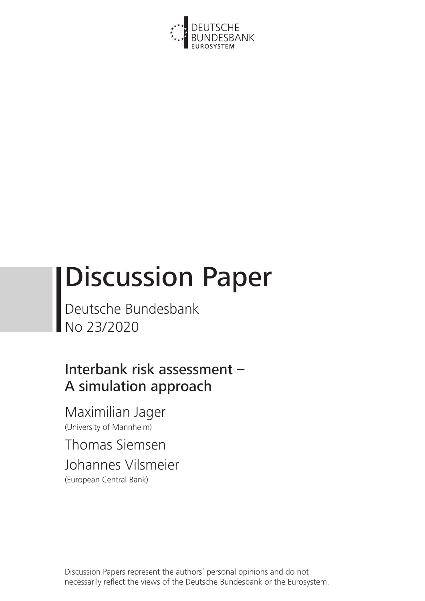

# Discussion Paper

Deutsche Bundesbank No 23/2020

Interbank risk assessment – A simulation approach

Maximilian Jager (University of Mannheim)

Thomas Siemsen Johannes Vilsmeier (European Central Bank)

Discussion Papers represent the authors' personal opinions and do not necessarily reflect the views of the Deutsche Bundesbank or the Eurosystem.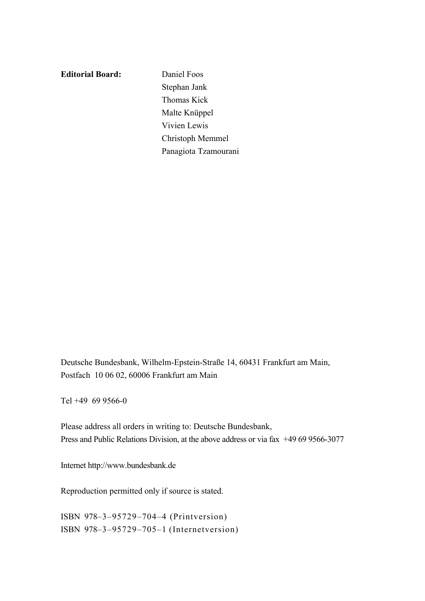**Editorial Board:** Daniel Foos

Stephan Jank Thomas Kick Malte Knüppel Vivien Lewis Christoph Memmel Panagiota Tzamourani

Deutsche Bundesbank, Wilhelm-Epstein-Straße 14, 60431 Frankfurt am Main, Postfach 10 06 02, 60006 Frankfurt am Main

Tel +49 69 9566-0

Please address all orders in writing to: Deutsche Bundesbank, Press and Public Relations Division, at the above address or via fax +49 69 9566-3077

Internet http://www.bundesbank.de

Reproduction permitted only if source is stated.

ISBN 978–3–95729–704–4 (Printversion) ISBN 978–3–95729–705–1 (Internetversion)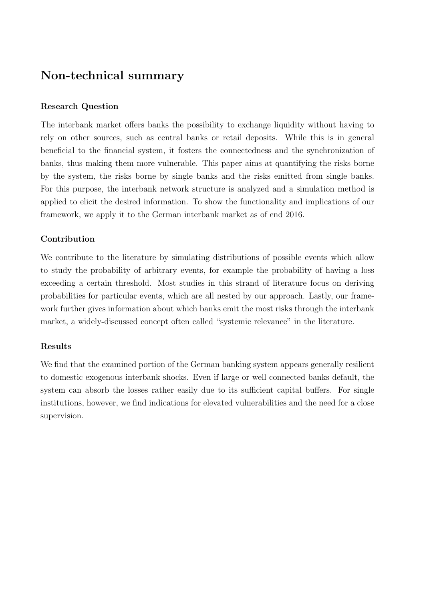# <span id="page-2-0"></span>Non-technical summary

#### Research Question

The interbank market offers banks the possibility to exchange liquidity without having to rely on other sources, such as central banks or retail deposits. While this is in general beneficial to the financial system, it fosters the connectedness and the synchronization of banks, thus making them more vulnerable. This paper aims at quantifying the risks borne by the system, the risks borne by single banks and the risks emitted from single banks. For this purpose, the interbank network structure is analyzed and a simulation method is applied to elicit the desired information. To show the functionality and implications of our framework, we apply it to the German interbank market as of end 2016.

#### Contribution

We contribute to the literature by simulating distributions of possible events which allow to study the probability of arbitrary events, for example the probability of having a loss exceeding a certain threshold. Most studies in this strand of literature focus on deriving probabilities for particular events, which are all nested by our approach. Lastly, our framework further gives information about which banks emit the most risks through the interbank market, a widely-discussed concept often called "systemic relevance" in the literature.

# Results

We find that the examined portion of the German banking system appears generally resilient to domestic exogenous interbank shocks. Even if large or well connected banks default, the system can absorb the losses rather easily due to its sufficient capital buffers. For single institutions, however, we find indications for elevated vulnerabilities and the need for a close supervision.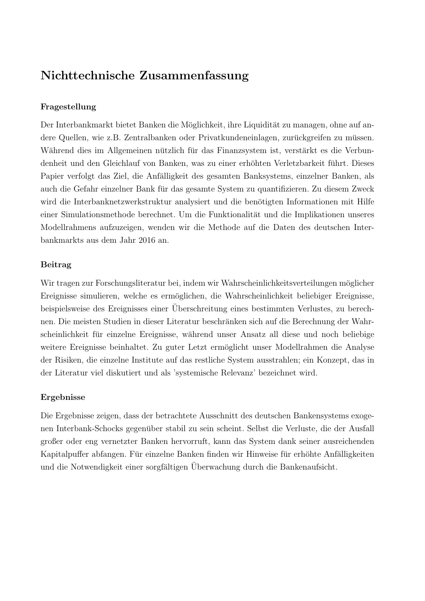# Nichttechnische Zusammenfassung

# Fragestellung

Der Interbankmarkt bietet Banken die Möglichkeit, ihre Liquidität zu managen, ohne auf andere Quellen, wie z.B. Zentralbanken oder Privatkundeneinlagen, zurückgreifen zu müssen. Während dies im Allgemeinen nützlich für das Finanzsystem ist, verstärkt es die Verbundenheit und den Gleichlauf von Banken, was zu einer erhöhten Verletzbarkeit führt. Dieses Papier verfolgt das Ziel, die Anfälligkeit des gesamten Banksystems, einzelner Banken, als auch die Gefahr einzelner Bank fur das gesamte System zu quantifizieren. Zu diesem Zweck ¨ wird die Interbanknetzwerkstruktur analysiert und die benötigten Informationen mit Hilfe einer Simulationsmethode berechnet. Um die Funktionalität und die Implikationen unseres Modellrahmens aufzuzeigen, wenden wir die Methode auf die Daten des deutschen Interbankmarkts aus dem Jahr 2016 an.

# Beitrag

Wir tragen zur Forschungsliteratur bei, indem wir Wahrscheinlichkeitsverteilungen möglicher Ereignisse simulieren, welche es ermöglichen, die Wahrscheinlichkeit beliebiger Ereignisse, beispielsweise des Ereignisses einer Uberschreitung eines bestimmten Verlustes, zu berech- ¨ nen. Die meisten Studien in dieser Literatur beschränken sich auf die Berechnung der Wahrscheinlichkeit für einzelne Ereignisse, während unser Ansatz all diese und noch beliebige weitere Ereignisse beinhaltet. Zu guter Letzt ermöglicht unser Modellrahmen die Analyse der Risiken, die einzelne Institute auf das restliche System ausstrahlen; ein Konzept, das in der Literatur viel diskutiert und als 'systemische Relevanz' bezeichnet wird.

# Ergebnisse

Die Ergebnisse zeigen, dass der betrachtete Ausschnitt des deutschen Bankensystems exogenen Interbank-Schocks gegenüber stabil zu sein scheint. Selbst die Verluste, die der Ausfall großer oder eng vernetzter Banken hervorruft, kann das System dank seiner ausreichenden Kapitalpuffer abfangen. Für einzelne Banken finden wir Hinweise für erhöhte Anfälligkeiten und die Notwendigkeit einer sorgfältigen Überwachung durch die Bankenaufsicht.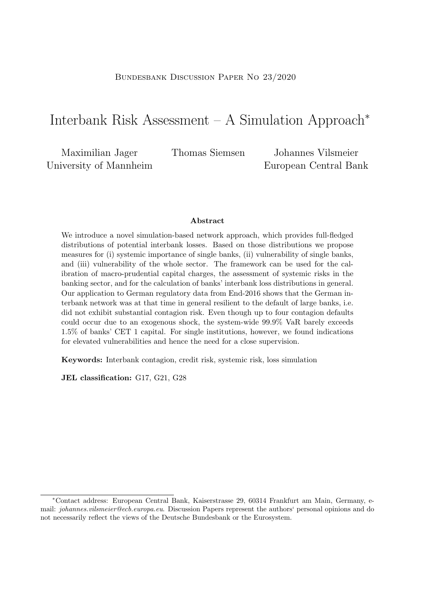# BUNDESBANK DISCUSSION PAPER NO 23/2020

# Interbank Risk Assessment – A Simulation Approach<sup>∗</sup>

Maximilian Jager University of Mannheim

Thomas Siemsen Johannes Vilsmeier European Central Bank

#### Abstract

We introduce a novel simulation-based network approach, which provides full-fledged distributions of potential interbank losses. Based on those distributions we propose measures for (i) systemic importance of single banks, (ii) vulnerability of single banks, and (iii) vulnerability of the whole sector. The framework can be used for the calibration of macro-prudential capital charges, the assessment of systemic risks in the banking sector, and for the calculation of banks' interbank loss distributions in general. Our application to German regulatory data from End-2016 shows that the German interbank network was at that time in general resilient to the default of large banks, i.e. did not exhibit substantial contagion risk. Even though up to four contagion defaults could occur due to an exogenous shock, the system-wide 99.9% VaR barely exceeds 1.5% of banks' CET 1 capital. For single institutions, however, we found indications for elevated vulnerabilities and hence the need for a close supervision.

Keywords: Interbank contagion, credit risk, systemic risk, loss simulation

JEL classification: G17, G21, G28

<sup>∗</sup>Contact address: European Central Bank, Kaiserstrasse 29, 60314 Frankfurt am Main, Germany, email: *johannes.vilsmeier@ecb.europa.eu.* Discussion Papers represent the authors' personal opinions and do not necessarily reflect the views of the Deutsche Bundesbank or the Eurosystem.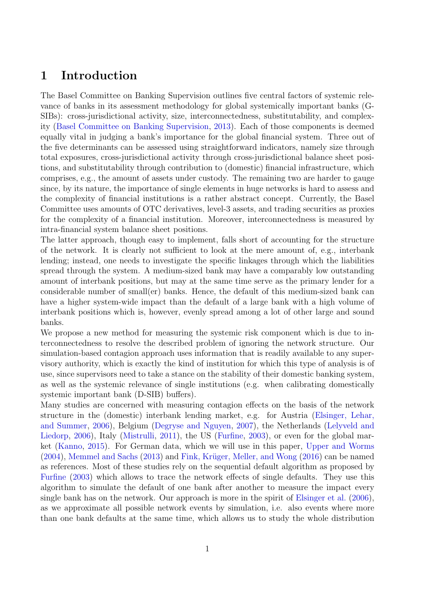# 1 Introduction

The Basel Committee on Banking Supervision outlines five central factors of systemic relevance of banks in its assessment methodology for global systemically important banks (G-SIBs): cross-jurisdictional activity, size, interconnectedness, substitutability, and complexity [\(Basel Committee on Banking Supervision,](#page-21-0) [2013\)](#page-21-0). Each of those components is deemed equally vital in judging a bank's importance for the global financial system. Three out of the five determinants can be assessed using straightforward indicators, namely size through total exposures, cross-jurisdictional activity through cross-jurisdictional balance sheet positions, and substitutability through contribution to (domestic) financial infrastructure, which comprises, e.g., the amount of assets under custody. The remaining two are harder to gauge since, by its nature, the importance of single elements in huge networks is hard to assess and the complexity of financial institutions is a rather abstract concept. Currently, the Basel Committee uses amounts of OTC derivatives, level-3 assets, and trading securities as proxies for the complexity of a financial institution. Moreover, interconnectedness is measured by intra-financial system balance sheet positions.

The latter approach, though easy to implement, falls short of accounting for the structure of the network. It is clearly not sufficient to look at the mere amount of, e.g., interbank lending; instead, one needs to investigate the specific linkages through which the liabilities spread through the system. A medium-sized bank may have a comparably low outstanding amount of interbank positions, but may at the same time serve as the primary lender for a considerable number of small(er) banks. Hence, the default of this medium-sized bank can have a higher system-wide impact than the default of a large bank with a high volume of interbank positions which is, however, evenly spread among a lot of other large and sound banks.

We propose a new method for measuring the systemic risk component which is due to interconnectedness to resolve the described problem of ignoring the network structure. Our simulation-based contagion approach uses information that is readily available to any supervisory authority, which is exactly the kind of institution for which this type of analysis is of use, since supervisors need to take a stance on the stability of their domestic banking system, as well as the systemic relevance of single institutions (e.g. when calibrating domestically systemic important bank (D-SIB) buffers).

Many studies are concerned with measuring contagion effects on the basis of the network structure in the (domestic) interbank lending market, e.g. for Austria [\(Elsinger, Lehar,](#page-21-1) [and Summer,](#page-21-1) [2006\)](#page-21-1), Belgium [\(Degryse and Nguyen,](#page-21-2) [2007\)](#page-21-2), the Netherlands [\(Lelyveld and](#page-21-3) [Liedorp,](#page-21-3) [2006\)](#page-21-3), Italy [\(Mistrulli,](#page-22-0) [2011\)](#page-22-0), the US [\(Furfine,](#page-21-4) [2003\)](#page-21-4), or even for the global market [\(Kanno,](#page-21-5) [2015\)](#page-21-5). For German data, which we will use in this paper, [Upper and Worms](#page-22-1)  $(2004)$ , [Memmel and Sachs](#page-22-2)  $(2013)$  and Fink, Krüger, Meller, and Wong  $(2016)$  can be named as references. Most of these studies rely on the sequential default algorithm as proposed by [Furfine](#page-21-4) [\(2003\)](#page-21-4) which allows to trace the network effects of single defaults. They use this algorithm to simulate the default of one bank after another to measure the impact every single bank has on the network. Our approach is more in the spirit of [Elsinger et al.](#page-21-1) [\(2006\)](#page-21-1), as we approximate all possible network events by simulation, i.e. also events where more than one bank defaults at the same time, which allows us to study the whole distribution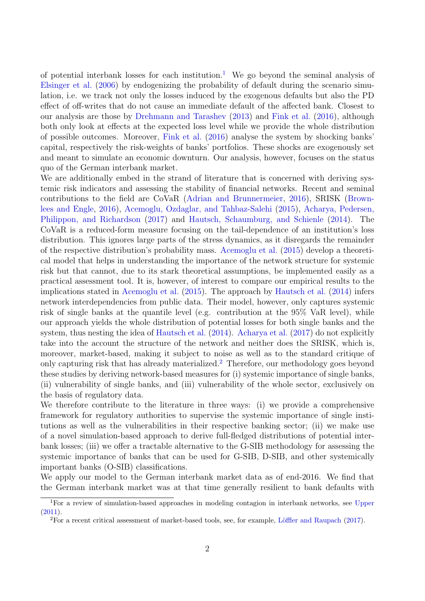of potential interbank losses for each institution.<sup>[1](#page-2-0)</sup> We go beyond the seminal analysis of [Elsinger et al.](#page-21-1) [\(2006\)](#page-21-1) by endogenizing the probability of default during the scenario simulation, i.e. we track not only the losses induced by the exogenous defaults but also the PD effect of off-writes that do not cause an immediate default of the affected bank. Closest to our analysis are those by [Drehmann and Tarashev](#page-21-7) [\(2013\)](#page-21-7) and [Fink et al.](#page-21-6) [\(2016\)](#page-21-6), although both only look at effects at the expected loss level while we provide the whole distribution of possible outcomes. Moreover, [Fink et al.](#page-21-6) [\(2016\)](#page-21-6) analyse the system by shocking banks' capital, respectively the risk-weights of banks' portfolios. These shocks are exogenously set and meant to simulate an economic downturn. Our analysis, however, focuses on the status quo of the German interbank market.

We are additionally embed in the strand of literature that is concerned with deriving systemic risk indicators and assessing the stability of financial networks. Recent and seminal contributions to the field are CoVaR [\(Adrian and Brunnermeier,](#page-21-8) [2016\)](#page-21-8), SRISK [\(Brown](#page-21-9)[lees and Engle,](#page-21-9) [2016\)](#page-21-9), [Acemoglu, Ozdaglar, and Tahbaz-Salehi](#page-21-10) [\(2015\)](#page-21-10), [Acharya, Pedersen,](#page-21-11) [Philippon, and Richardson](#page-21-11) [\(2017\)](#page-21-11) and [Hautsch, Schaumburg, and Schienle](#page-21-12) [\(2014\)](#page-21-12). The CoVaR is a reduced-form measure focusing on the tail-dependence of an institution's loss distribution. This ignores large parts of the stress dynamics, as it disregards the remainder of the respective distribution's probability mass. [Acemoglu et al.](#page-21-10) [\(2015\)](#page-21-10) develop a theoretical model that helps in understanding the importance of the network structure for systemic risk but that cannot, due to its stark theoretical assumptions, be implemented easily as a practical assessment tool. It is, however, of interest to compare our empirical results to the implications stated in [Acemoglu et al.](#page-21-10) [\(2015\)](#page-21-10). The approach by [Hautsch et al.](#page-21-12) [\(2014\)](#page-21-12) infers network interdependencies from public data. Their model, however, only captures systemic risk of single banks at the quantile level (e.g. contribution at the 95% VaR level), while our approach yields the whole distribution of potential losses for both single banks and the system, thus nesting the idea of [Hautsch et al.](#page-21-12) [\(2014\)](#page-21-12). [Acharya et al.](#page-21-11) [\(2017\)](#page-21-11) do not explicitly take into the account the structure of the network and neither does the SRISK, which is, moreover, market-based, making it subject to noise as well as to the standard critique of only capturing risk that has already materialized.[2](#page-2-0) Therefore, our methodology goes beyond these studies by deriving network-based measures for (i) systemic importance of single banks, (ii) vulnerability of single banks, and (iii) vulnerability of the whole sector, exclusively on the basis of regulatory data.

We therefore contribute to the literature in three ways: (i) we provide a comprehensive framework for regulatory authorities to supervise the systemic importance of single institutions as well as the vulnerabilities in their respective banking sector; (ii) we make use of a novel simulation-based approach to derive full-fledged distributions of potential interbank losses; (iii) we offer a tractable alternative to the G-SIB methodology for assessing the systemic importance of banks that can be used for G-SIB, D-SIB, and other systemically important banks (O-SIB) classifications.

We apply our model to the German interbank market data as of end-2016. We find that the German interbank market was at that time generally resilient to bank defaults with

<sup>&</sup>lt;sup>1</sup>For a review of simulation-based approaches in modeling contagion in interbank networks, see [Upper](#page-22-3) [\(2011\)](#page-22-3).

<sup>&</sup>lt;sup>2</sup>For a recent critical assessment of market-based tools, see, for example, Löffler and Raupach [\(2017\)](#page-22-4).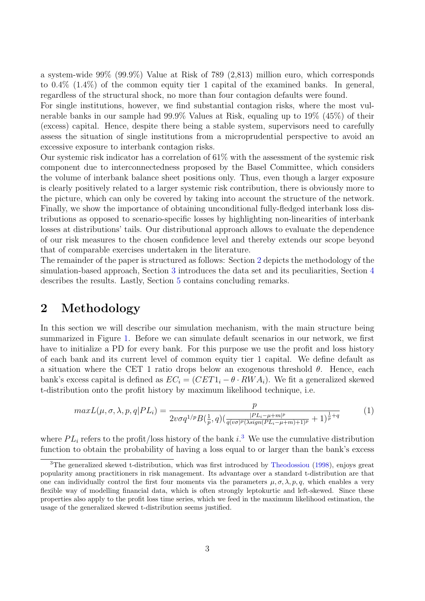a system-wide 99% (99.9%) Value at Risk of 789 (2,813) million euro, which corresponds to 0.4% (1.4%) of the common equity tier 1 capital of the examined banks. In general, regardless of the structural shock, no more than four contagion defaults were found.

For single institutions, however, we find substantial contagion risks, where the most vulnerable banks in our sample had 99.9% Values at Risk, equaling up to 19% (45%) of their (excess) capital. Hence, despite there being a stable system, supervisors need to carefully assess the situation of single institutions from a microprudential perspective to avoid an excessive exposure to interbank contagion risks.

Our systemic risk indicator has a correlation of 61% with the assessment of the systemic risk component due to interconnectedness proposed by the Basel Committee, which considers the volume of interbank balance sheet positions only. Thus, even though a larger exposure is clearly positively related to a larger systemic risk contribution, there is obviously more to the picture, which can only be covered by taking into account the structure of the network. Finally, we show the importance of obtaining unconditional fully-fledged interbank loss distributions as opposed to scenario-specific losses by highlighting non-linearities of interbank losses at distributions' tails. Our distributional approach allows to evaluate the dependence of our risk measures to the chosen confidence level and thereby extends our scope beyond that of comparable exercises undertaken in the literature.

The remainder of the paper is structured as follows: Section [2](#page-7-0) depicts the methodology of the simulation-based approach, Section [3](#page-10-0) introduces the data set and its peculiarities, Section [4](#page-12-0) describes the results. Lastly, Section [5](#page-20-0) contains concluding remarks.

# <span id="page-7-0"></span>2 Methodology

In this section we will describe our simulation mechanism, with the main structure being summarized in Figure [1.](#page-8-0) Before we can simulate default scenarios in our network, we first have to initialize a PD for every bank. For this purpose we use the profit and loss history of each bank and its current level of common equity tier 1 capital. We define default as a situation where the CET 1 ratio drops below an exogenous threshold  $\theta$ . Hence, each bank's excess capital is defined as  $EC_i = (CET1_i - \theta \cdot RWA_i)$ . We fit a generalized skewed t-distribution onto the profit history by maximum likelihood technique, i.e.

<span id="page-7-1"></span>
$$
maxL(\mu, \sigma, \lambda, p, q|PL_i) = \frac{p}{2v\sigma q^{1/p}B(\frac{1}{p}, q)(\frac{|PL_i - \mu + m|^p}{q(v\sigma)^p(\lambda sign(PL_i - \mu + m) + 1)^p} + 1)^{\frac{1}{p} + q}}
$$
(1)

where  $PL_i$  refers to the profit/loss history of the bank  $i$ .<sup>[3](#page-2-0)</sup> We use the cumulative distribution function to obtain the probability of having a loss equal to or larger than the bank's excess

<sup>3</sup>The generalized skewed t-distribution, which was first introduced by [Theodossiou](#page-22-5) [\(1998\)](#page-22-5), enjoys great popularity among practitioners in risk management. Its advantage over a standard t-distribution are that one can individually control the first four moments via the parameters  $\mu$ ,  $\sigma$ ,  $\lambda$ ,  $p$ ,  $q$ , which enables a very flexible way of modelling financial data, which is often strongly leptokurtic and left-skewed. Since these properties also apply to the profit loss time series, which we feed in the maximum likelihood estimation, the usage of the generalized skewed t-distribution seems justified.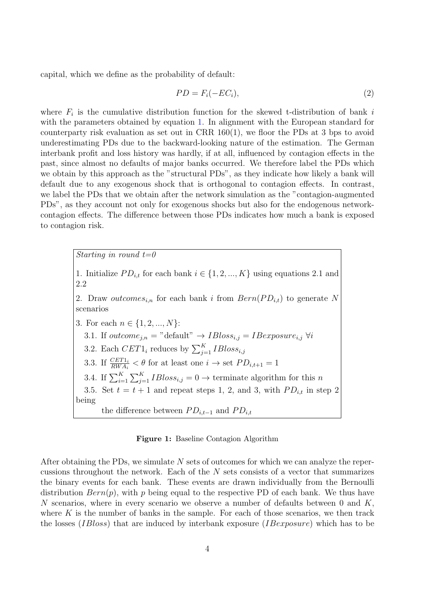capital, which we define as the probability of default:

<span id="page-8-1"></span>
$$
PD = F_i(-EC_i),\tag{2}
$$

where  $F_i$  is the cumulative distribution function for the skewed t-distribution of bank i with the parameters obtained by equation [1.](#page-7-1) In alignment with the European standard for counterparty risk evaluation as set out in CRR 160(1), we floor the PDs at 3 bps to avoid underestimating PDs due to the backward-looking nature of the estimation. The German interbank profit and loss history was hardly, if at all, influenced by contagion effects in the past, since almost no defaults of major banks occurred. We therefore label the PDs which we obtain by this approach as the "structural PDs", as they indicate how likely a bank will default due to any exogenous shock that is orthogonal to contagion effects. In contrast, we label the PDs that we obtain after the network simulation as the "contagion-augmented PDs", as they account not only for exogenous shocks but also for the endogenous networkcontagion effects. The difference between those PDs indicates how much a bank is exposed to contagion risk.

> <span id="page-8-0"></span>Starting in round  $t=0$ 1. Initialize  $PD_{i,t}$  for each bank  $i \in \{1, 2, ..., K\}$  using equations 2.1 and 2.2 2. Draw outcomes<sub>i,n</sub> for each bank i from  $Bern(PD_{i,t})$  to generate N scenarios 3. For each  $n \in \{1, 2, ..., N\}$ : 3.1. If  $outcome_{j,n} = "default" \rightarrow IBloss_{i,j} = IBexposure_{i,j} \ \forall i$ 3.2. Each  $CET1_i$  reduces by  $\sum_{j=1}^{K}IBloss_{i,j}$ 3.3. If  $\frac{CET1_i}{RWA_i} < \theta$  for at least one  $i \to \text{set} PD_{i,t+1} = 1$ 3.4. If  $\sum_{i=1}^{K} \sum_{j=1}^{K} IBIoss_{i,j} = 0 \rightarrow$  terminate algorithm for this n 3.5. Set  $t = t + 1$  and repeat steps 1, 2, and 3, with  $PD_{i,t}$  in step 2 being the difference between  $PD_{i,t-1}$  and  $PD_{i,t}$

Figure 1: Baseline Contagion Algorithm

After obtaining the PDs, we simulate N sets of outcomes for which we can analyze the repercussions throughout the network. Each of the  $N$  sets consists of a vector that summarizes the binary events for each bank. These events are drawn individually from the Bernoulli distribution  $Bern(p)$ , with p being equal to the respective PD of each bank. We thus have N scenarios, where in every scenario we observe a number of defaults between  $0$  and  $K$ , where  $K$  is the number of banks in the sample. For each of those scenarios, we then track the losses *(IBloss)* that are induced by interbank exposure *(IBexposure)* which has to be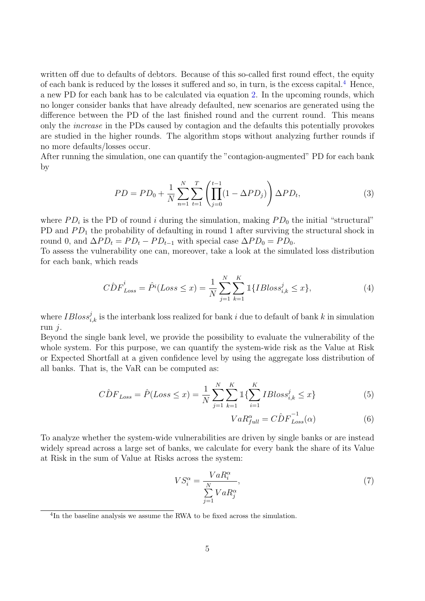written off due to defaults of debtors. Because of this so-called first round effect, the equity of each bank is reduced by the losses it suffered and so, in turn, is the excess capital.<sup>[4](#page-2-0)</sup> Hence, a new PD for each bank has to be calculated via equation [2.](#page-8-1) In the upcoming rounds, which no longer consider banks that have already defaulted, new scenarios are generated using the difference between the PD of the last finished round and the current round. This means only the increase in the PDs caused by contagion and the defaults this potentially provokes are studied in the higher rounds. The algorithm stops without analyzing further rounds if no more defaults/losses occur.

After running the simulation, one can quantify the "contagion-augmented" PD for each bank by

$$
PD = PD_0 + \frac{1}{N} \sum_{n=1}^{N} \sum_{t=1}^{T} \left( \prod_{j=0}^{t-1} (1 - \Delta PD_j) \right) \Delta PD_t,
$$
\n(3)

where  $PD_i$  is the PD of round i during the simulation, making  $PD_0$  the initial "structural" PD and  $PD_1$  the probability of defaulting in round 1 after surviving the structural shock in round 0, and  $\Delta PD_t = PD_t - PD_{t-1}$  with special case  $\Delta PD_0 = PD_0$ .

To assess the vulnerability one can, moreover, take a look at the simulated loss distribution for each bank, which reads

$$
\hat{CDF}_{Loss}^i = \hat{P}^i (Loss \le x) = \frac{1}{N} \sum_{j=1}^{N} \sum_{k=1}^{K} \mathbb{1} \{IBloss_{i,k}^j \le x \},\tag{4}
$$

where  $IBloss_{i,k}^j$  is the interbank loss realized for bank i due to default of bank k in simulation run j.

Beyond the single bank level, we provide the possibility to evaluate the vulnerability of the whole system. For this purpose, we can quantify the system-wide risk as the Value at Risk or Expected Shortfall at a given confidence level by using the aggregate loss distribution of all banks. That is, the VaR can be computed as:

$$
\hat{CDF}_{Loss} = \hat{P}(Loss \le x) = \frac{1}{N} \sum_{j=1}^{N} \sum_{k=1}^{K} \mathbb{1} \{ \sum_{i=1}^{K} IBloss_{i,k}^{j} \le x \}
$$
(5)

$$
VaR_{full}^{\alpha} = \hat{CDF}_{Loss}^{-1}(\alpha) \tag{6}
$$

To analyze whether the system-wide vulnerabilities are driven by single banks or are instead widely spread across a large set of banks, we calculate for every bank the share of its Value at Risk in the sum of Value at Risks across the system:

$$
VS_i^{\alpha} = \frac{VaR_i^{\alpha}}{\sum\limits_{j=1}^{N} VaR_j^{\alpha}},\tag{7}
$$

<sup>4</sup> In the baseline analysis we assume the RWA to be fixed across the simulation.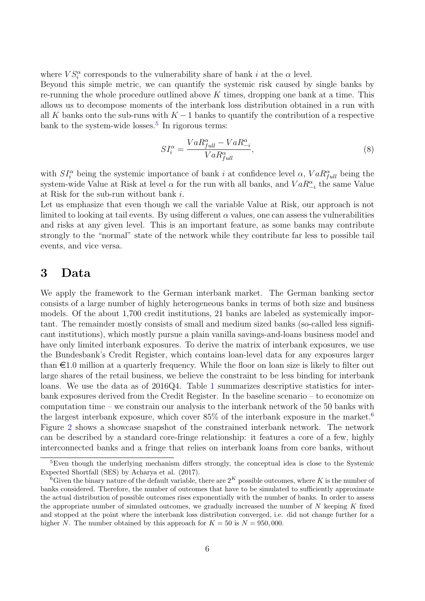where  $VS_i^{\alpha}$  corresponds to the vulnerability share of bank i at the  $\alpha$  level.

Beyond this simple metric, we can quantify the systemic risk caused by single banks by re-running the whole procedure outlined above  $K$  times, dropping one bank at a time. This allows us to decompose moments of the interbank loss distribution obtained in a run with all K banks onto the sub-runs with  $K - 1$  banks to quantify the contribution of a respective bank to the system-wide losses.<sup>[5](#page-2-0)</sup> In rigorous terms:

$$
SI_i^{\alpha} = \frac{VaR_{full}^{\alpha} - VaR_{-i}^{\alpha}}{VaR_{full}^{\alpha}},\tag{8}
$$

with  $SI_i^{\alpha}$  being the systemic importance of bank i at confidence level  $\alpha$ ,  $VaR_{full}^{\alpha}$  being the system-wide Value at Risk at level  $\alpha$  for the run with all banks, and  $VaR_{-i}^{\alpha}$  the same Value at Risk for the sub-run without bank i.

Let us emphasize that even though we call the variable Value at Risk, our approach is not limited to looking at tail events. By using different  $\alpha$  values, one can assess the vulnerabilities and risks at any given level. This is an important feature, as some banks may contribute strongly to the "normal" state of the network while they contribute far less to possible tail events, and vice versa.

# <span id="page-10-0"></span>3 Data

We apply the framework to the German interbank market. The German banking sector consists of a large number of highly heterogeneous banks in terms of both size and business models. Of the about 1,700 credit institutions, 21 banks are labeled as systemically important. The remainder mostly consists of small and medium sized banks (so-called less significant institutions), which mostly pursue a plain vanilla savings-and-loans business model and have only limited interbank exposures. To derive the matrix of interbank exposures, we use the Bundesbank's Credit Register, which contains loan-level data for any exposures larger than  $\epsilon$ 1.0 million at a quarterly frequency. While the floor on loan size is likely to filter out large shares of the retail business, we believe the constraint to be less binding for interbank loans. We use the data as of 2016Q4. Table [1](#page-11-0) summarizes descriptive statistics for interbank exposures derived from the Credit Register. In the baseline scenario – to economize on computation time – we constrain our analysis to the interbank network of the 50 banks with the largest interbank exposure, which cover  $85\%$  of the interbank exposure in the market.<sup>[6](#page-2-0)</sup> Figure [2](#page-12-1) shows a showcase snapshot of the constrained interbank network. The network can be described by a standard core-fringe relationship: it features a core of a few, highly interconnected banks and a fringe that relies on interbank loans from core banks, without

<sup>&</sup>lt;sup>5</sup>Even though the underlying mechanism differs strongly, the conceptual idea is close to the Systemic Expected Shortfall (SES) by Acharya et al. (2017).

<sup>&</sup>lt;sup>6</sup>Given the binary nature of the default variable, there are  $2^{K}$  possible outcomes, where K is the number of banks considered. Therefore, the number of outcomes that have to be simulated to sufficiently approximate the actual distribution of possible outcomes rises exponentially with the number of banks. In order to assess the appropriate number of simulated outcomes, we gradually increased the number of  $N$  keeping  $K$  fixed and stopped at the point where the interbank loss distribution converged, i.e. did not change further for a higher N. The number obtained by this approach for  $K = 50$  is  $N = 950,000$ .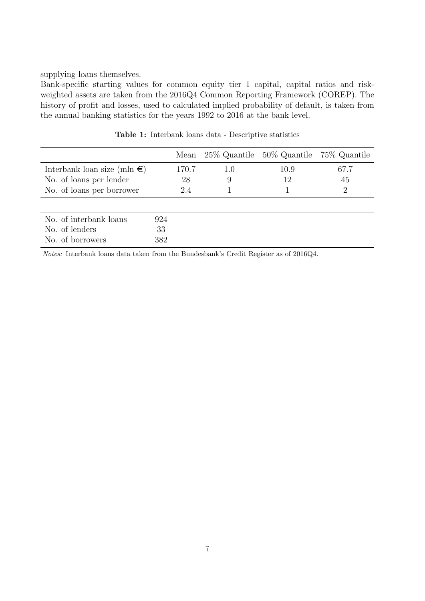supplying loans themselves.

Bank-specific starting values for common equity tier 1 capital, capital ratios and riskweighted assets are taken from the 2016Q4 Common Reporting Framework (COREP). The history of profit and losses, used to calculated implied probability of default, is taken from the annual banking statistics for the years 1992 to 2016 at the bank level.

<span id="page-11-0"></span>

|                                       |     |       |     | Mean 25\% Quantile 50\% Quantile 75\% Quantile |      |
|---------------------------------------|-----|-------|-----|------------------------------------------------|------|
| Interbank loan size (mln $\epsilon$ ) |     | 170.7 | 1.0 | 10.9                                           | 67.7 |
| No. of loans per lender               |     | 28    | 9   | 12                                             | 45   |
| No. of loans per borrower             |     | 2.4   |     |                                                | 2    |
|                                       |     |       |     |                                                |      |
| No. of interbank loans                | 924 |       |     |                                                |      |
| No. of lenders                        | 33  |       |     |                                                |      |
| No. of borrowers                      | 382 |       |     |                                                |      |

Table 1: Interbank loans data - Descriptive statistics

Notes: Interbank loans data taken from the Bundesbank's Credit Register as of 2016Q4.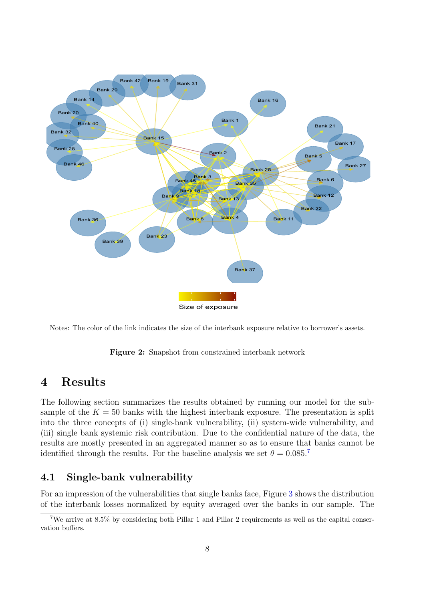<span id="page-12-1"></span>

Notes: The color of the link indicates the size of the interbank exposure relative to borrower's assets.

Figure 2: Snapshot from constrained interbank network

# <span id="page-12-0"></span>4 Results

The following section summarizes the results obtained by running our model for the subsample of the  $K = 50$  banks with the highest interbank exposure. The presentation is split into the three concepts of (i) single-bank vulnerability, (ii) system-wide vulnerability, and (iii) single bank systemic risk contribution. Due to the confidential nature of the data, the results are mostly presented in an aggregated manner so as to ensure that banks cannot be identified through the results. For the baseline analysis we set  $\theta = 0.085$ .<sup>[7](#page-2-0)</sup>

# 4.1 Single-bank vulnerability

For an impression of the vulnerabilities that single banks face, Figure [3](#page-14-0) shows the distribution of the interbank losses normalized by equity averaged over the banks in our sample. The

<sup>7</sup>We arrive at 8.5% by considering both Pillar 1 and Pillar 2 requirements as well as the capital conservation buffers.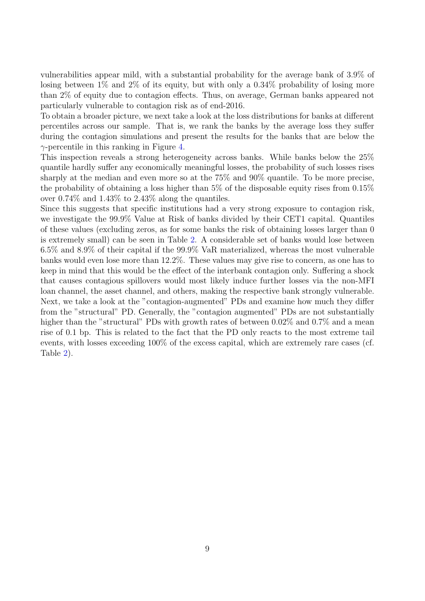vulnerabilities appear mild, with a substantial probability for the average bank of 3.9% of losing between 1% and 2% of its equity, but with only a 0.34% probability of losing more than 2% of equity due to contagion effects. Thus, on average, German banks appeared not particularly vulnerable to contagion risk as of end-2016.

To obtain a broader picture, we next take a look at the loss distributions for banks at different percentiles across our sample. That is, we rank the banks by the average loss they suffer during the contagion simulations and present the results for the banks that are below the  $\gamma$ -percentile in this ranking in Figure [4.](#page-14-1)

This inspection reveals a strong heterogeneity across banks. While banks below the 25% quantile hardly suffer any economically meaningful losses, the probability of such losses rises sharply at the median and even more so at the 75% and 90% quantile. To be more precise, the probability of obtaining a loss higher than 5% of the disposable equity rises from 0.15% over 0.74% and 1.43% to 2.43% along the quantiles.

Since this suggests that specific institutions had a very strong exposure to contagion risk, we investigate the 99.9% Value at Risk of banks divided by their CET1 capital. Quantiles of these values (excluding zeros, as for some banks the risk of obtaining losses larger than 0 is extremely small) can be seen in Table [2.](#page-15-0) A considerable set of banks would lose between 6.5% and 8.9% of their capital if the 99.9% VaR materialized, whereas the most vulnerable banks would even lose more than 12.2%. These values may give rise to concern, as one has to keep in mind that this would be the effect of the interbank contagion only. Suffering a shock that causes contagious spillovers would most likely induce further losses via the non-MFI loan channel, the asset channel, and others, making the respective bank strongly vulnerable. Next, we take a look at the "contagion-augmented" PDs and examine how much they differ from the "structural" PD. Generally, the "contagion augmented" PDs are not substantially higher than the "structural" PDs with growth rates of between  $0.02\%$  and  $0.7\%$  and a mean rise of 0.1 bp. This is related to the fact that the PD only reacts to the most extreme tail events, with losses exceeding 100% of the excess capital, which are extremely rare cases (cf. Table [2\)](#page-15-0).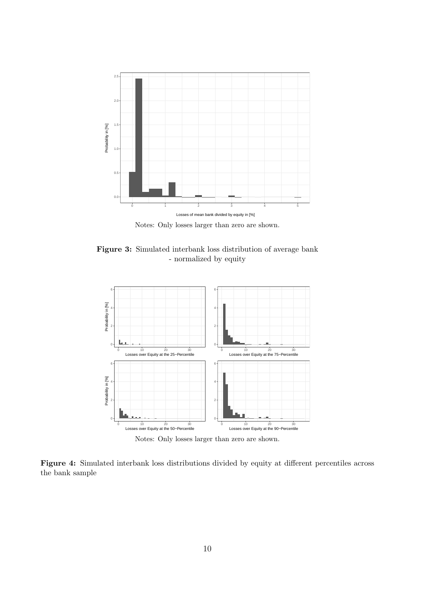<span id="page-14-0"></span>

Figure 3: Simulated interbank loss distribution of average bank - normalized by equity

<span id="page-14-1"></span>

Figure 4: Simulated interbank loss distributions divided by equity at different percentiles across the bank sample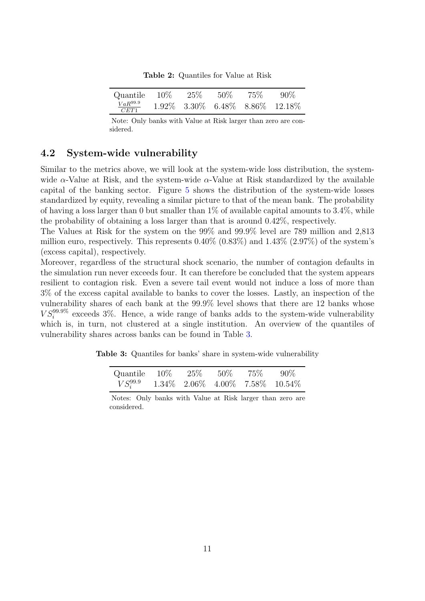Table 2: Quantiles for Value at Risk

<span id="page-15-0"></span>

| Quantile $10\%$      | $25\%$ | $50\%$ | 75% | $-90\%$                                       |
|----------------------|--------|--------|-----|-----------------------------------------------|
| $VaR^{99.9}$<br>CET1 |        |        |     | $1.92\%$ $3.30\%$ $6.48\%$ $8.86\%$ $12.18\%$ |

Note: Only banks with Value at Risk larger than zero are considered.

# 4.2 System-wide vulnerability

Similar to the metrics above, we will look at the system-wide loss distribution, the systemwide  $\alpha$ -Value at Risk, and the system-wide  $\alpha$ -Value at Risk standardized by the available capital of the banking sector. Figure [5](#page-16-0) shows the distribution of the system-wide losses standardized by equity, revealing a similar picture to that of the mean bank. The probability of having a loss larger than 0 but smaller than  $1\%$  of available capital amounts to 3.4%, while the probability of obtaining a loss larger than that is around 0.42%, respectively.

The Values at Risk for the system on the 99% and 99.9% level are 789 million and 2,813 million euro, respectively. This represents  $0.40\%$   $(0.83\%)$  and  $1.43\%$   $(2.97\%)$  of the system's (excess capital), respectively.

Moreover, regardless of the structural shock scenario, the number of contagion defaults in the simulation run never exceeds four. It can therefore be concluded that the system appears resilient to contagion risk. Even a severe tail event would not induce a loss of more than 3% of the excess capital available to banks to cover the losses. Lastly, an inspection of the vulnerability shares of each bank at the 99.9% level shows that there are 12 banks whose  $VS_i^{99.9\%}$  exceeds 3%. Hence, a wide range of banks adds to the system-wide vulnerability which is, in turn, not clustered at a single institution. An overview of the quantiles of vulnerability shares across banks can be found in Table [3.](#page-15-1)

<span id="page-15-1"></span>Table 3: Quantiles for banks' share in system-wide vulnerability

| Quantile $10\%$ $25\%$ $50\%$ |  | 75% | $-90\%$                                       |
|-------------------------------|--|-----|-----------------------------------------------|
| $VS_i^{99.9}$                 |  |     | $1.34\%$ $2.06\%$ $4.00\%$ $7.58\%$ $10.54\%$ |

Notes: Only banks with Value at Risk larger than zero are considered.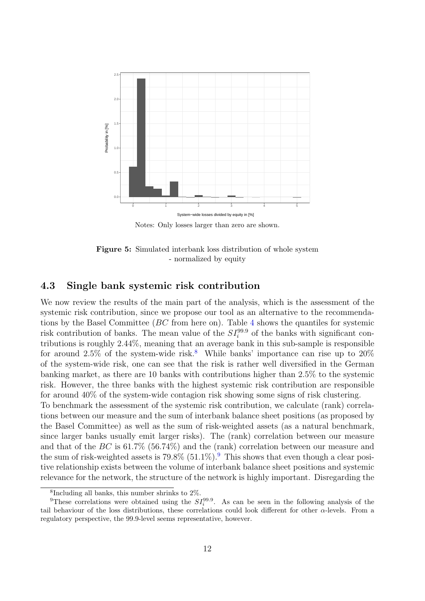<span id="page-16-0"></span>

Notes: Only losses larger than zero are shown.

Figure 5: Simulated interbank loss distribution of whole system - normalized by equity

# 4.3 Single bank systemic risk contribution

We now review the results of the main part of the analysis, which is the assessment of the systemic risk contribution, since we propose our tool as an alternative to the recommendations by the Basel Committee (BC from here on). Table [4](#page-17-0) shows the quantiles for systemic risk contribution of banks. The mean value of the  $SI^{99.9}_{i}$  of the banks with significant contributions is roughly 2.44%, meaning that an average bank in this sub-sample is responsible for around  $2.5\%$  of the system-wide risk.<sup>[8](#page-2-0)</sup> While banks' importance can rise up to  $20\%$ of the system-wide risk, one can see that the risk is rather well diversified in the German banking market, as there are 10 banks with contributions higher than 2.5% to the systemic risk. However, the three banks with the highest systemic risk contribution are responsible for around 40% of the system-wide contagion risk showing some signs of risk clustering.

To benchmark the assessment of the systemic risk contribution, we calculate (rank) correlations between our measure and the sum of interbank balance sheet positions (as proposed by the Basel Committee) as well as the sum of risk-weighted assets (as a natural benchmark, since larger banks usually emit larger risks). The (rank) correlation between our measure and that of the  $BC$  is 61.7% (56.74%) and the (rank) correlation between our measure and the sum of risk-weighted assets is  $79.8\%$  $79.8\%$  $79.8\%$  (51.1%).<sup>9</sup> This shows that even though a clear positive relationship exists between the volume of interbank balance sheet positions and systemic relevance for the network, the structure of the network is highly important. Disregarding the

<sup>&</sup>lt;sup>8</sup>Including all banks, this number shrinks to  $2\%$ .

<sup>&</sup>lt;sup>9</sup>These correlations were obtained using the  $SI_i^{99.9}$ . As can be seen in the following analysis of the tail behaviour of the loss distributions, these correlations could look different for other  $\alpha$ -levels. From a regulatory perspective, the 99.9-level seems representative, however.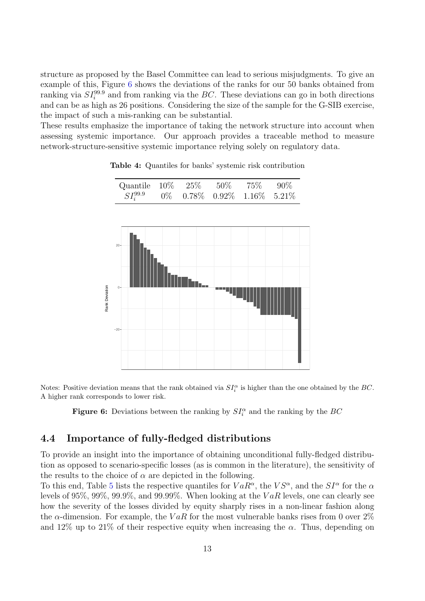structure as proposed by the Basel Committee can lead to serious misjudgments. To give an example of this, Figure [6](#page-17-1) shows the deviations of the ranks for our 50 banks obtained from ranking via  $SI_i^{99.9}$  and from ranking via the BC. These deviations can go in both directions and can be as high as 26 positions. Considering the size of the sample for the G-SIB exercise, the impact of such a mis-ranking can be substantial.

<span id="page-17-0"></span>These results emphasize the importance of taking the network structure into account when assessing systemic importance. Our approach provides a traceable method to measure network-structure-sensitive systemic importance relying solely on regulatory data.

<span id="page-17-1"></span>

|                | Quantile<br>$SI_i^{99.9}$ | $10\%$<br>$0\%$ | $25\%$<br>$0.78\%$ | $50\%$ | 75%<br>$0.92\%$ 1.16% | $90\%$<br>5.21% |
|----------------|---------------------------|-----------------|--------------------|--------|-----------------------|-----------------|
| Rank Deviation | 20<br>$\circ$<br>$-20$    |                 |                    |        |                       |                 |
|                |                           |                 |                    |        |                       |                 |

Table 4: Quantiles for banks' systemic risk contribution

Notes: Positive deviation means that the rank obtained via  $SI_i^{\alpha}$  is higher than the one obtained by the BC. A higher rank corresponds to lower risk.

**Figure 6:** Deviations between the ranking by  $SI_i^{\alpha}$  and the ranking by the BC

#### 4.4 Importance of fully-fledged distributions

To provide an insight into the importance of obtaining unconditional fully-fledged distribution as opposed to scenario-specific losses (as is common in the literature), the sensitivity of the results to the choice of  $\alpha$  are depicted in the following.

To this end, Table [5](#page-18-0) lists the respective quantiles for  $VaR^{\alpha}$ , the  $VS^{\alpha}$ , and the  $SI^{\alpha}$  for the  $\alpha$ levels of 95%, 99%, 99.9%, and 99.99%. When looking at the  $VaR$  levels, one can clearly see how the severity of the losses divided by equity sharply rises in a non-linear fashion along the  $\alpha$ -dimension. For example, the VaR for the most vulnerable banks rises from 0 over 2% and 12% up to 21% of their respective equity when increasing the  $\alpha$ . Thus, depending on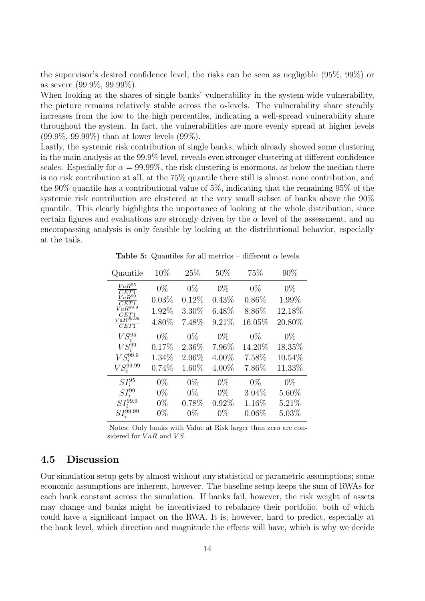the supervisor's desired confidence level, the risks can be seen as negligible (95%, 99%) or as severe (99.9%, 99.99%).

When looking at the shares of single banks' vulnerability in the system-wide vulnerability, the picture remains relatively stable across the  $\alpha$ -levels. The vulnerability share steadily increases from the low to the high percentiles, indicating a well-spread vulnerability share throughout the system. In fact, the vulnerabilities are more evenly spread at higher levels (99.9%, 99.99%) than at lower levels (99%).

Lastly, the systemic risk contribution of single banks, which already showed some clustering in the main analysis at the 99.9% level, reveals even stronger clustering at different confidence scales. Especially for  $\alpha = 99.99\%$ , the risk clustering is enormous, as below the median there is no risk contribution at all, at the 75% quantile there still is almost none contribution, and the 90% quantile has a contributional value of 5%, indicating that the remaining 95% of the systemic risk contribution are clustered at the very small subset of banks above the 90% quantile. This clearly highlights the importance of looking at the whole distribution, since certain figures and evaluations are strongly driven by the  $\alpha$  level of the assessment, and an encompassing analysis is only feasible by looking at the distributional behavior, especially at the tails.

Table 5: Quantiles for all metrics – different  $\alpha$  levels

<span id="page-18-0"></span>

| Quantile                        | 10%   | 25%   | 50%   | 75%      | 90%    |
|---------------------------------|-------|-------|-------|----------|--------|
| $VaR^{95}$<br>CET1              | $0\%$ | $0\%$ | $0\%$ | $0\%$    | $0\%$  |
| $\tilde{VaR}^{99}$<br>CET1      | 0.03% | 0.12% | 0.43% | $0.86\%$ | 1.99%  |
| $\overline{VaR}^{99.9}$<br>CET1 | 1.92% | 3.30% | 6.48% | 8.86%    | 12.18% |
| $\bar{VaR}^{99.99}$<br>CET1     | 4.80% | 7.48% | 9.21% | 16.05%   | 20.80% |
| $VS_i^{95}$                     | $0\%$ | $0\%$ | $0\%$ | $0\%$    | $0\%$  |
| $VS_i^{99}$                     | 0.17% | 2.36% | 7.96% | 14.20%   | 18.35% |
| $VS_i^{99.9}$                   | 1.34% | 2.06% | 4.00% | 7.58%    | 10.54% |
| $VS_i^{99.99}$                  | 0.74% | 1.60% | 4.00% | 7.86%    | 11.33% |
| $SI_i^{95}$                     | $0\%$ | $0\%$ | $0\%$ | $0\%$    | $0\%$  |
| $SI_i^{99}$                     | $0\%$ | $0\%$ | $0\%$ | $3.04\%$ | 5.60%  |
| $\mathit{SI}^{99.9}_i$          | $0\%$ | 0.78% | 0.92% | 1.16%    | 5.21%  |
| $SI^{99.99}_{i}$                | $0\%$ | $0\%$ | $0\%$ | $0.06\%$ | 5.03%  |

Notes: Only banks with Value at Risk larger than zero are considered for  $VaR$  and  $VS$ .

#### 4.5 Discussion

Our simulation setup gets by almost without any statistical or parametric assumptions; some economic assumptions are inherent, however. The baseline setup keeps the sum of RWAs for each bank constant across the simulation. If banks fail, however, the risk weight of assets may change and banks might be incentivized to rebalance their portfolio, both of which could have a significant impact on the RWA. It is, however, hard to predict, especially at the bank level, which direction and magnitude the effects will have, which is why we decide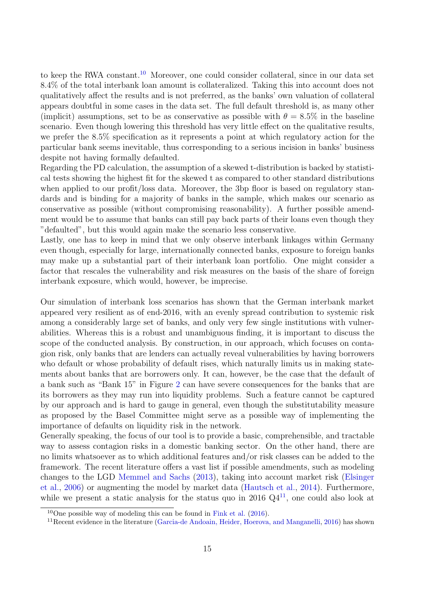to keep the RWA constant.<sup>[10](#page-2-0)</sup> Moreover, one could consider collateral, since in our data set 8.4% of the total interbank loan amount is collateralized. Taking this into account does not qualitatively affect the results and is not preferred, as the banks' own valuation of collateral appears doubtful in some cases in the data set. The full default threshold is, as many other (implicit) assumptions, set to be as conservative as possible with  $\theta = 8.5\%$  in the baseline scenario. Even though lowering this threshold has very little effect on the qualitative results, we prefer the 8.5% specification as it represents a point at which regulatory action for the particular bank seems inevitable, thus corresponding to a serious incision in banks' business despite not having formally defaulted.

Regarding the PD calculation, the assumption of a skewed t-distribution is backed by statistical tests showing the highest fit for the skewed t as compared to other standard distributions when applied to our profit/loss data. Moreover, the 3bp floor is based on regulatory standards and is binding for a majority of banks in the sample, which makes our scenario as conservative as possible (without compromising reasonability). A further possible amendment would be to assume that banks can still pay back parts of their loans even though they "defaulted", but this would again make the scenario less conservative.

Lastly, one has to keep in mind that we only observe interbank linkages within Germany even though, especially for large, internationally connected banks, exposure to foreign banks may make up a substantial part of their interbank loan portfolio. One might consider a factor that rescales the vulnerability and risk measures on the basis of the share of foreign interbank exposure, which would, however, be imprecise.

Our simulation of interbank loss scenarios has shown that the German interbank market appeared very resilient as of end-2016, with an evenly spread contribution to systemic risk among a considerably large set of banks, and only very few single institutions with vulnerabilities. Whereas this is a robust and unambiguous finding, it is important to discuss the scope of the conducted analysis. By construction, in our approach, which focuses on contagion risk, only banks that are lenders can actually reveal vulnerabilities by having borrowers who default or whose probability of default rises, which naturally limits us in making statements about banks that are borrowers only. It can, however, be the case that the default of a bank such as "Bank 15" in Figure [2](#page-12-1) can have severe consequences for the banks that are its borrowers as they may run into liquidity problems. Such a feature cannot be captured by our approach and is hard to gauge in general, even though the substitutability measure as proposed by the Basel Committee might serve as a possible way of implementing the importance of defaults on liquidity risk in the network.

Generally speaking, the focus of our tool is to provide a basic, comprehensible, and tractable way to assess contagion risks in a domestic banking sector. On the other hand, there are no limits whatsoever as to which additional features and/or risk classes can be added to the framework. The recent literature offers a vast list if possible amendments, such as modeling changes to the LGD [Memmel and Sachs](#page-22-2) [\(2013\)](#page-22-2), taking into account market risk [\(Elsinger](#page-21-1) [et al.,](#page-21-1) [2006\)](#page-21-1) or augmenting the model by market data [\(Hautsch et al.,](#page-21-12) [2014\)](#page-21-12). Furthermore, while we present a static analysis for the status quo in 2016  $Q4^{11}$  $Q4^{11}$  $Q4^{11}$ , one could also look at

 $10$ One possible way of modeling this can be found in [Fink et al.](#page-21-6) [\(2016\)](#page-21-6).

<sup>&</sup>lt;sup>11</sup> Recent evidence in the literature [\(Garcia-de Andoain, Heider, Hoerova, and Manganelli,](#page-21-13) [2016\)](#page-21-13) has shown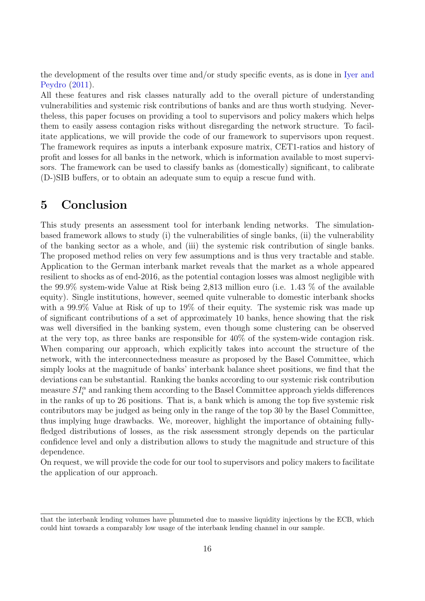the development of the results over time and/or study specific events, as is done in [Iyer and](#page-21-14) [Peydro](#page-21-14) [\(2011\)](#page-21-14).

All these features and risk classes naturally add to the overall picture of understanding vulnerabilities and systemic risk contributions of banks and are thus worth studying. Nevertheless, this paper focuses on providing a tool to supervisors and policy makers which helps them to easily assess contagion risks without disregarding the network structure. To facilitate applications, we will provide the code of our framework to supervisors upon request. The framework requires as inputs a interbank exposure matrix, CET1-ratios and history of profit and losses for all banks in the network, which is information available to most supervisors. The framework can be used to classify banks as (domestically) significant, to calibrate (D-)SIB buffers, or to obtain an adequate sum to equip a rescue fund with.

# <span id="page-20-0"></span>5 Conclusion

This study presents an assessment tool for interbank lending networks. The simulationbased framework allows to study (i) the vulnerabilities of single banks, (ii) the vulnerability of the banking sector as a whole, and (iii) the systemic risk contribution of single banks. The proposed method relies on very few assumptions and is thus very tractable and stable. Application to the German interbank market reveals that the market as a whole appeared resilient to shocks as of end-2016, as the potential contagion losses was almost negligible with the 99.9% system-wide Value at Risk being 2,813 million euro (i.e. 1.43 % of the available equity). Single institutions, however, seemed quite vulnerable to domestic interbank shocks with a 99.9% Value at Risk of up to 19% of their equity. The systemic risk was made up of significant contributions of a set of approximately 10 banks, hence showing that the risk was well diversified in the banking system, even though some clustering can be observed at the very top, as three banks are responsible for 40% of the system-wide contagion risk. When comparing our approach, which explicitly takes into account the structure of the network, with the interconnectedness measure as proposed by the Basel Committee, which simply looks at the magnitude of banks' interbank balance sheet positions, we find that the deviations can be substantial. Ranking the banks according to our systemic risk contribution measure  $SI_i^{\alpha}$  and ranking them according to the Basel Committee approach yields differences in the ranks of up to 26 positions. That is, a bank which is among the top five systemic risk contributors may be judged as being only in the range of the top 30 by the Basel Committee, thus implying huge drawbacks. We, moreover, highlight the importance of obtaining fullyfledged distributions of losses, as the risk assessment strongly depends on the particular confidence level and only a distribution allows to study the magnitude and structure of this dependence.

On request, we will provide the code for our tool to supervisors and policy makers to facilitate the application of our approach.

that the interbank lending volumes have plummeted due to massive liquidity injections by the ECB, which could hint towards a comparably low usage of the interbank lending channel in our sample.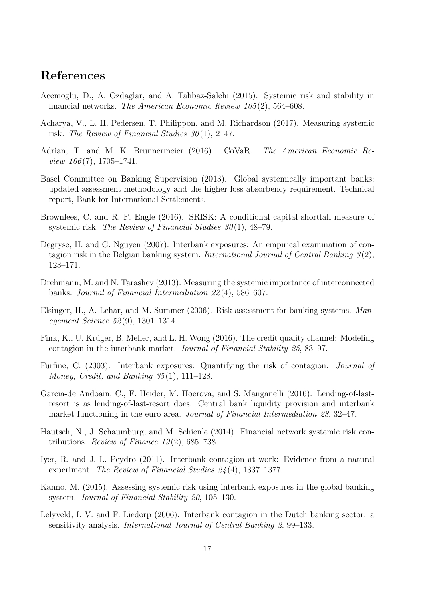# References

- <span id="page-21-10"></span>Acemoglu, D., A. Ozdaglar, and A. Tahbaz-Salehi (2015). Systemic risk and stability in financial networks. The American Economic Review 105 (2), 564–608.
- <span id="page-21-11"></span>Acharya, V., L. H. Pedersen, T. Philippon, and M. Richardson (2017). Measuring systemic risk. The Review of Financial Studies  $30(1)$ , 2–47.
- <span id="page-21-8"></span>Adrian, T. and M. K. Brunnermeier (2016). CoVaR. The American Economic Re*view 106*(7), 1705–1741.
- <span id="page-21-0"></span>Basel Committee on Banking Supervision (2013). Global systemically important banks: updated assessment methodology and the higher loss absorbency requirement. Technical report, Bank for International Settlements.
- <span id="page-21-9"></span>Brownlees, C. and R. F. Engle (2016). SRISK: A conditional capital shortfall measure of systemic risk. The Review of Financial Studies  $30(1)$ , 48–79.
- <span id="page-21-2"></span>Degryse, H. and G. Nguyen (2007). Interbank exposures: An empirical examination of contagion risk in the Belgian banking system. International Journal of Central Banking  $3(2)$ , 123–171.
- <span id="page-21-7"></span>Drehmann, M. and N. Tarashev (2013). Measuring the systemic importance of interconnected banks. Journal of Financial Intermediation 22 (4), 586–607.
- <span id="page-21-1"></span>Elsinger, H., A. Lehar, and M. Summer (2006). Risk assessment for banking systems. Management Science 52 (9), 1301–1314.
- <span id="page-21-6"></span>Fink, K., U. Krüger, B. Meller, and L. H. Wong (2016). The credit quality channel: Modeling contagion in the interbank market. Journal of Financial Stability 25, 83–97.
- <span id="page-21-4"></span>Furfine, C. (2003). Interbank exposures: Quantifying the risk of contagion. Journal of Money, Credit, and Banking 35(1), 111–128.
- <span id="page-21-13"></span>Garcia-de Andoain, C., F. Heider, M. Hoerova, and S. Manganelli (2016). Lending-of-lastresort is as lending-of-last-resort does: Central bank liquidity provision and interbank market functioning in the euro area. Journal of Financial Intermediation 28, 32–47.
- <span id="page-21-12"></span>Hautsch, N., J. Schaumburg, and M. Schienle (2014). Financial network systemic risk contributions. Review of Finance  $19(2)$ , 685–738.
- <span id="page-21-14"></span>Iyer, R. and J. L. Peydro (2011). Interbank contagion at work: Evidence from a natural experiment. The Review of Financial Studies 24 (4), 1337–1377.
- <span id="page-21-5"></span>Kanno, M. (2015). Assessing systemic risk using interbank exposures in the global banking system. Journal of Financial Stability 20, 105–130.
- <span id="page-21-3"></span>Lelyveld, I. V. and F. Liedorp (2006). Interbank contagion in the Dutch banking sector: a sensitivity analysis. International Journal of Central Banking 2, 99–133.